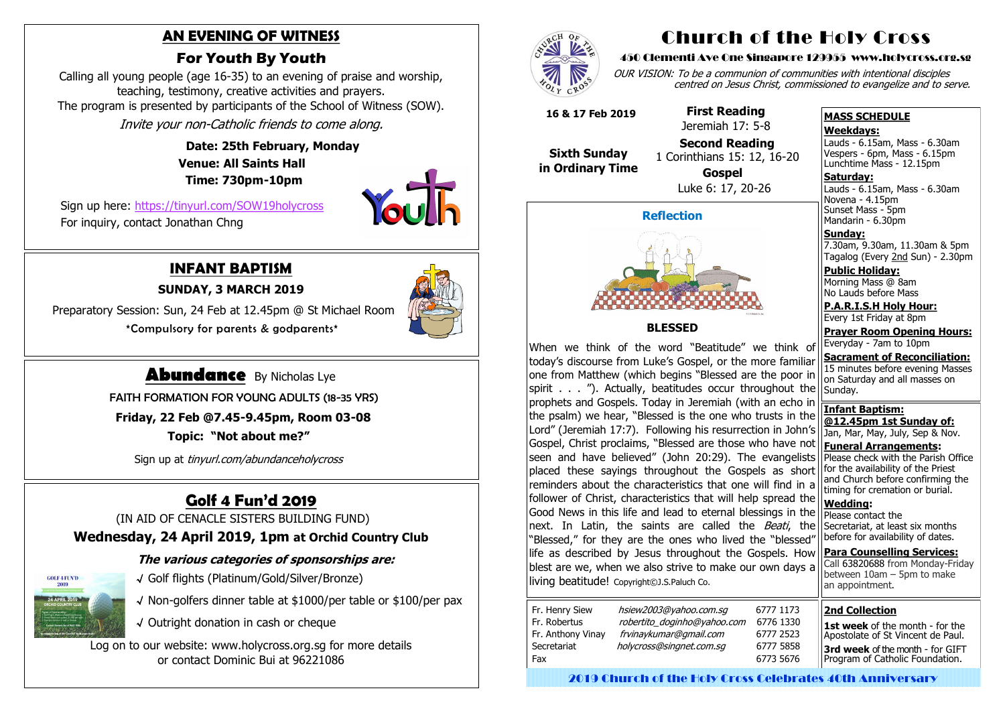# **Golf 4 Fun'd 2019**

(IN AID OF CENACLE SISTERS BUILDING FUND)

## **Wednesday, 24 April 2019, 1pm at Orchid Country Club**

#### **The various categories of sponsorships are:**



- √ Golf flights (Platinum/Gold/Silver/Bronze)
- √ Non-golfers dinner table at \$1000/per table or \$100/per pax
- √ Outright donation in cash or cheque

Log on to our website: www.holycross.org.sg for more details or contact Dominic Bui at 96221086



# **INFANT BAPTISM**

**SUNDAY, 3 MARCH 2019**

 Preparatory Session: Sun, 24 Feb at 12.45pm @ St Michael Room \*Compulsory for parents & godparents\*



# **Abundance** By Nicholas Lye

FAITH FORMATION FOR YOUNG ADULTS (18-35 YRS)

 **Friday, 22 Feb @7.45-9.45pm, Room 03-08**

 **Topic: "Not about me?"**

Sign up at tinyurl.com/abundanceholycross

## **AN EVENING OF WITNESS**

# **For Youth By Youth**

Lauds - 6.15am, Mass - 6.30am Novena - 4.15pm Sunset Mass - 5pm Mandarin - 6.30pm

Calling all young people (age 16-35) to an evening of praise and worship, teaching, testimony, creative activities and prayers. The program is presented by participants of the School of Witness (SOW). Invite your non-Catholic friends to come along.

> **Date: 25th February, Monday Venue: All Saints Hall Time: 730pm-10pm**

Sign up here: <https://tinyurl.com/SOW19holycross> For inquiry, contact Jonathan Chng



# Church of the Holy Cross

#### 450 Clementi Ave One Singapore 129955 www.holycross.org.sg

OUR VISION: To be a communion of communities with intentional disciples centred on Jesus Christ, commissioned to evangelize and to serve.

#### **MASS SCHEDULE**

#### **Weekdays:**

Lauds - 6.15am, Mass - 6.30am Vespers - 6pm, Mass - 6.15pm Lunchtime Mass - 12.15pm

**Saturday:**

**Sunday:** 7.30am, 9.30am, 11.30am & 5pm Tagalog (Every 2nd Sun) - 2.30pm

**Public Holiday:**  Morning Mass @ 8am No Lauds before Mass

**P.A.R.I.S.H Holy Hour:** Every 1st Friday at 8pm

1st week of the month - for the Apostolate of St Vincent de Paul. **3rd week** of the month - for GIFT Program of Catholic Foundation.

**Prayer Room Opening Hours:** Everyday - 7am to 10pm

**Sacrament of Reconciliation:** 15 minutes before evening Masses on Saturday and all masses on Sunday.

**Infant Baptism: @12.45pm 1st Sunday of:** Jan, Mar, May, July, Sep & Nov. **Funeral Arrangements:** 

Please check with the Parish Office for the availability of the Priest and Church before confirming the timing for cremation or burial.

**Wedding:**  Please contact the Secretariat, at least six months before for availability of dates.

**Para Counselling Services:** Call [63820688](tel:+6563820688) from Monday-Friday between  $10$ am – 5pm to make an appointment.

**Reflection**



#### **BLESSED**

When we think of the word "Beatitude" we think of today's discourse from Luke's Gospel, or the more familiar one from Matthew (which begins "Blessed are the poor in spirit . . . "). Actually, beatitudes occur throughout the prophets and Gospels. Today in Jeremiah (with an echo in the psalm) we hear, "Blessed is the one who trusts in the Lord" (Jeremiah 17:7). Following his resurrection in John's Gospel, Christ proclaims, "Blessed are those who have not seen and have believed" (John 20:29). The evangelists placed these sayings throughout the Gospels as short reminders about the characteristics that one will find in a follower of Christ, characteristics that will help spread the Good News in this life and lead to eternal blessings in the next. In Latin, the saints are called the *Beati*, the "Blessed," for they are the ones who lived the "blessed" life as described by Jesus throughout the Gospels. How blest are we, when we also strive to make our own days a living beatitude! Copyright©J.S.Paluch Co.

| Fr. Henry Siew    | hsiew2003@yahoo.com.sg      |  |
|-------------------|-----------------------------|--|
| Fr. Robertus      | robertito_doginho@yahoo.com |  |
| Fr. Anthony Vinay | frvinaykumar@gmail.com      |  |
| Secretariat       | holycross@singnet.com.sg    |  |
| Fax               |                             |  |
|                   |                             |  |

 **16 & 17 Feb 2019**

 **Sixth Sunday in Ordinary Time**

 **First Reading** Jeremiah 17: 5-8

 **Second Reading** 1 Corinthians 15: 12, 16-20 **Gospel** Luke 6: 17, 20-26

#### **2nd Collection**

2019 Church of the Holy Cross Celebrates 40th Anniversary